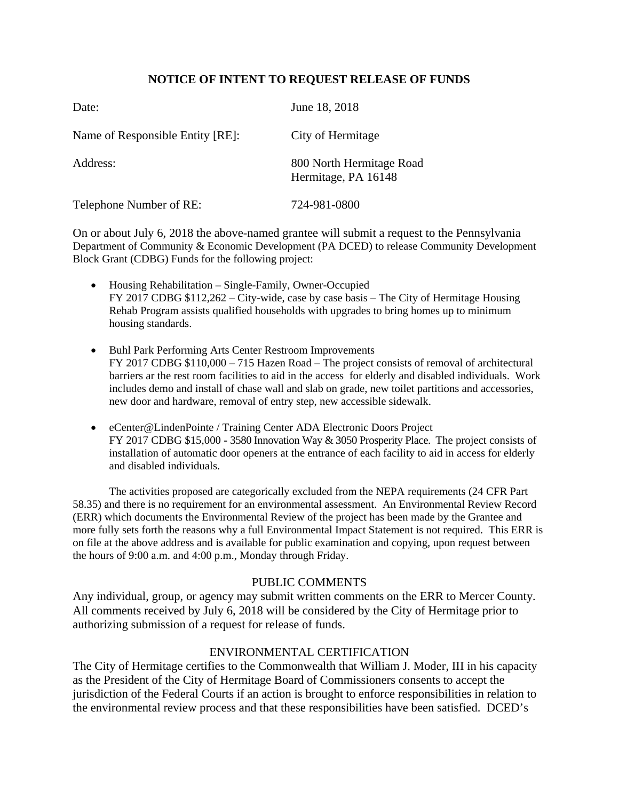## **NOTICE OF INTENT TO REQUEST RELEASE OF FUNDS**

| Date:                            | June 18, 2018                                   |
|----------------------------------|-------------------------------------------------|
| Name of Responsible Entity [RE]: | City of Hermitage                               |
| Address:                         | 800 North Hermitage Road<br>Hermitage, PA 16148 |
| Telephone Number of RE:          | 724-981-0800                                    |

On or about July 6, 2018 the above-named grantee will submit a request to the Pennsylvania Department of Community & Economic Development (PA DCED) to release Community Development Block Grant (CDBG) Funds for the following project:

- Housing Rehabilitation Single-Family, Owner-Occupied FY 2017 CDBG \$112,262 – City-wide, case by case basis – The City of Hermitage Housing Rehab Program assists qualified households with upgrades to bring homes up to minimum housing standards.
- Buhl Park Performing Arts Center Restroom Improvements FY 2017 CDBG \$110,000 – 715 Hazen Road – The project consists of removal of architectural barriers ar the rest room facilities to aid in the access for elderly and disabled individuals. Work includes demo and install of chase wall and slab on grade, new toilet partitions and accessories, new door and hardware, removal of entry step, new accessible sidewalk.
- eCenter@LindenPointe / Training Center ADA Electronic Doors Project FY 2017 CDBG \$15,000 - 3580 Innovation Way & 3050 Prosperity Place. The project consists of installation of automatic door openers at the entrance of each facility to aid in access for elderly and disabled individuals.

The activities proposed are categorically excluded from the NEPA requirements (24 CFR Part 58.35) and there is no requirement for an environmental assessment. An Environmental Review Record (ERR) which documents the Environmental Review of the project has been made by the Grantee and more fully sets forth the reasons why a full Environmental Impact Statement is not required. This ERR is on file at the above address and is available for public examination and copying, upon request between the hours of 9:00 a.m. and 4:00 p.m., Monday through Friday.

## PUBLIC COMMENTS

Any individual, group, or agency may submit written comments on the ERR to Mercer County*.*  All comments received by July 6, 2018 will be considered by the City of Hermitage prior to authorizing submission of a request for release of funds.

## ENVIRONMENTAL CERTIFICATION

The City of Hermitage certifies to the Commonwealth that William J. Moder, III in his capacity as the President of the City of Hermitage Board of Commissioners consents to accept the jurisdiction of the Federal Courts if an action is brought to enforce responsibilities in relation to the environmental review process and that these responsibilities have been satisfied. DCED's